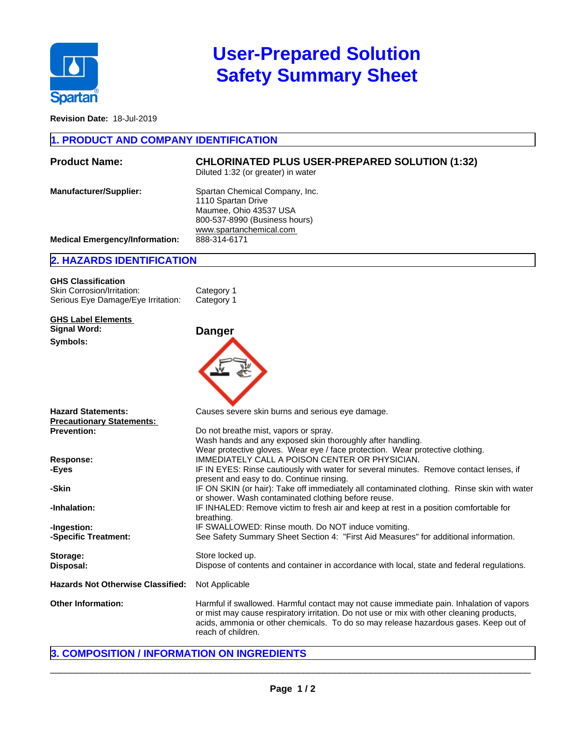

# **User-Prepared Solution Safety Summary Sheet**

**Revision Date:** 18-Jul-2019

#### **1. PRODUCT AND COMPANY IDENTIFICATION**

| <b>Product Name:</b>                  | <b>CHLORINATED PLUS USER-PREPARED SOLUTION (1:32)</b><br>Diluted 1:32 (or greater) in water                                                |
|---------------------------------------|--------------------------------------------------------------------------------------------------------------------------------------------|
| <b>Manufacturer/Supplier:</b>         | Spartan Chemical Company, Inc.<br>1110 Spartan Drive<br>Maumee, Ohio 43537 USA<br>800-537-8990 (Business hours)<br>www.spartanchemical.com |
| <b>Medical Emergency/Information:</b> | 888-314-6171                                                                                                                               |

### **2. HAZARDS IDENTIFICATION**

| <b>GHS Classification</b>          |            |
|------------------------------------|------------|
| Skin Corrosion/Irritation:         | Category 1 |
| Serious Eye Damage/Eye Irritation: | Category 1 |

**GHS Label Elements Signal Word: Danger Symbols:**



| <b>Hazard Statements:</b>         | Causes severe skin burns and serious eye damage.                                                                                                                                                                                                                                                    |
|-----------------------------------|-----------------------------------------------------------------------------------------------------------------------------------------------------------------------------------------------------------------------------------------------------------------------------------------------------|
| Precautionary Statements:         |                                                                                                                                                                                                                                                                                                     |
| Prevention:                       | Do not breathe mist, vapors or spray.<br>Wash hands and any exposed skin thoroughly after handling.                                                                                                                                                                                                 |
|                                   | Wear protective gloves. Wear eye / face protection. Wear protective clothing.                                                                                                                                                                                                                       |
| Response:                         | IMMEDIATELY CALL A POISON CENTER OR PHYSICIAN.                                                                                                                                                                                                                                                      |
| -Eyes                             | IF IN EYES: Rinse cautiously with water for several minutes. Remove contact lenses, if<br>present and easy to do. Continue rinsing.                                                                                                                                                                 |
| -Skin                             | IF ON SKIN (or hair): Take off immediately all contaminated clothing. Rinse skin with water<br>or shower. Wash contaminated clothing before reuse.                                                                                                                                                  |
| -Inhalation:                      | IF INHALED: Remove victim to fresh air and keep at rest in a position comfortable for<br>breathing.                                                                                                                                                                                                 |
| -Ingestion:                       | IF SWALLOWED: Rinse mouth. Do NOT induce vomiting.                                                                                                                                                                                                                                                  |
| -Specific Treatment:              | See Safety Summary Sheet Section 4: "First Aid Measures" for additional information.                                                                                                                                                                                                                |
| Storage:                          | Store locked up.                                                                                                                                                                                                                                                                                    |
| Disposal:                         | Dispose of contents and container in accordance with local, state and federal regulations.                                                                                                                                                                                                          |
| Hazards Not Otherwise Classified: | Not Applicable                                                                                                                                                                                                                                                                                      |
| <b>Other Information:</b>         | Harmful if swallowed. Harmful contact may not cause immediate pain. Inhalation of vapors<br>or mist may cause respiratory irritation. Do not use or mix with other cleaning products,<br>acids, ammonia or other chemicals. To do so may release hazardous gases. Keep out of<br>reach of children. |
|                                   |                                                                                                                                                                                                                                                                                                     |

# **3. COMPOSITION / INFORMATION ON INGREDIENTS**

 $\_$  ,  $\_$  ,  $\_$  ,  $\_$  ,  $\_$  ,  $\_$  ,  $\_$  ,  $\_$  ,  $\_$  ,  $\_$  ,  $\_$  ,  $\_$  ,  $\_$  ,  $\_$  ,  $\_$  ,  $\_$  ,  $\_$  ,  $\_$  ,  $\_$  ,  $\_$  ,  $\_$  ,  $\_$  ,  $\_$  ,  $\_$  ,  $\_$  ,  $\_$  ,  $\_$  ,  $\_$  ,  $\_$  ,  $\_$  ,  $\_$  ,  $\_$  ,  $\_$  ,  $\_$  ,  $\_$  ,  $\_$  ,  $\_$  ,